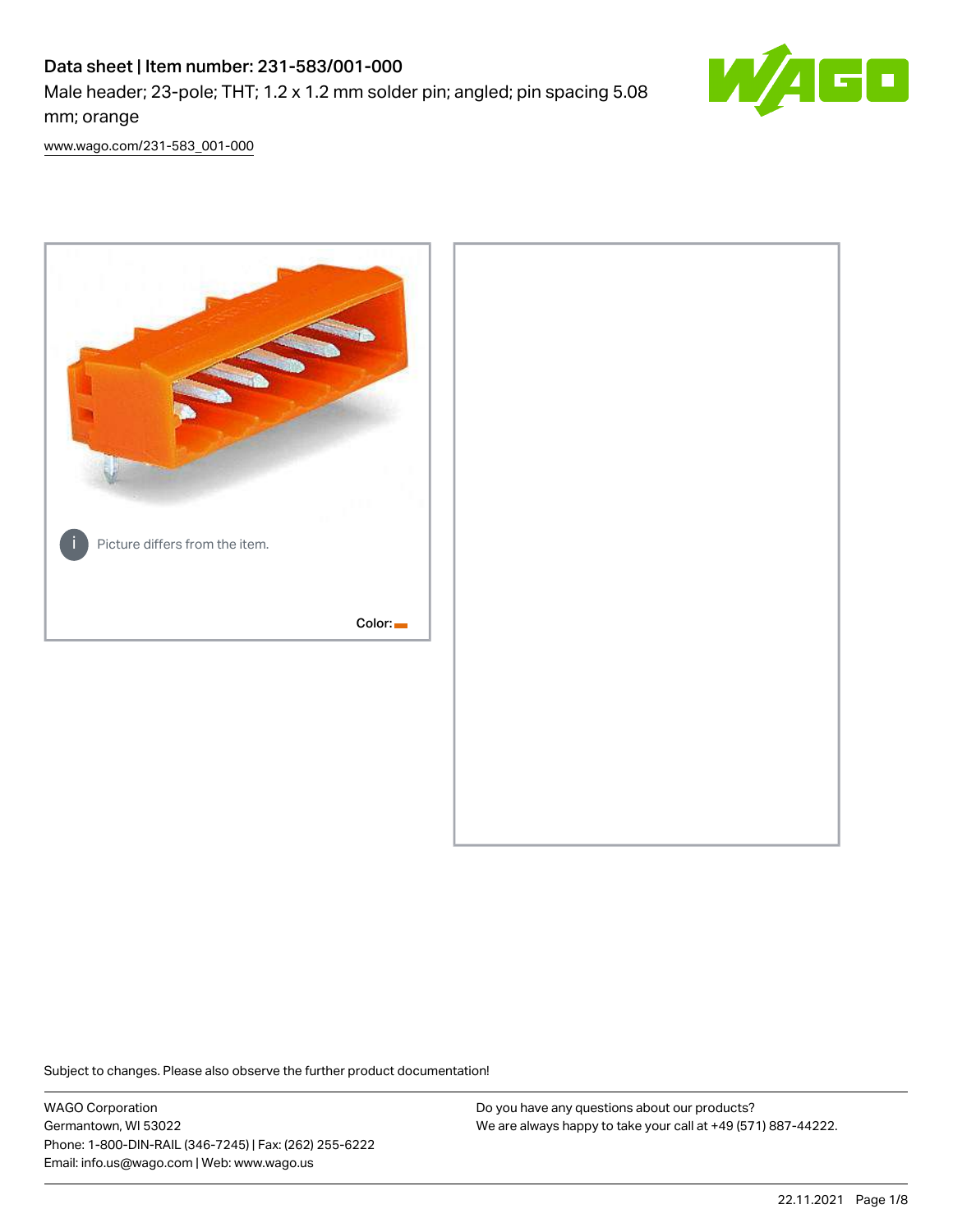# Data sheet | Item number: 231-583/001-000

Male header; 23-pole; THT; 1.2 x 1.2 mm solder pin; angled; pin spacing 5.08 mm; orange



[www.wago.com/231-583\\_001-000](http://www.wago.com/231-583_001-000)



Subject to changes. Please also observe the further product documentation!

WAGO Corporation Germantown, WI 53022 Phone: 1-800-DIN-RAIL (346-7245) | Fax: (262) 255-6222 Email: info.us@wago.com | Web: www.wago.us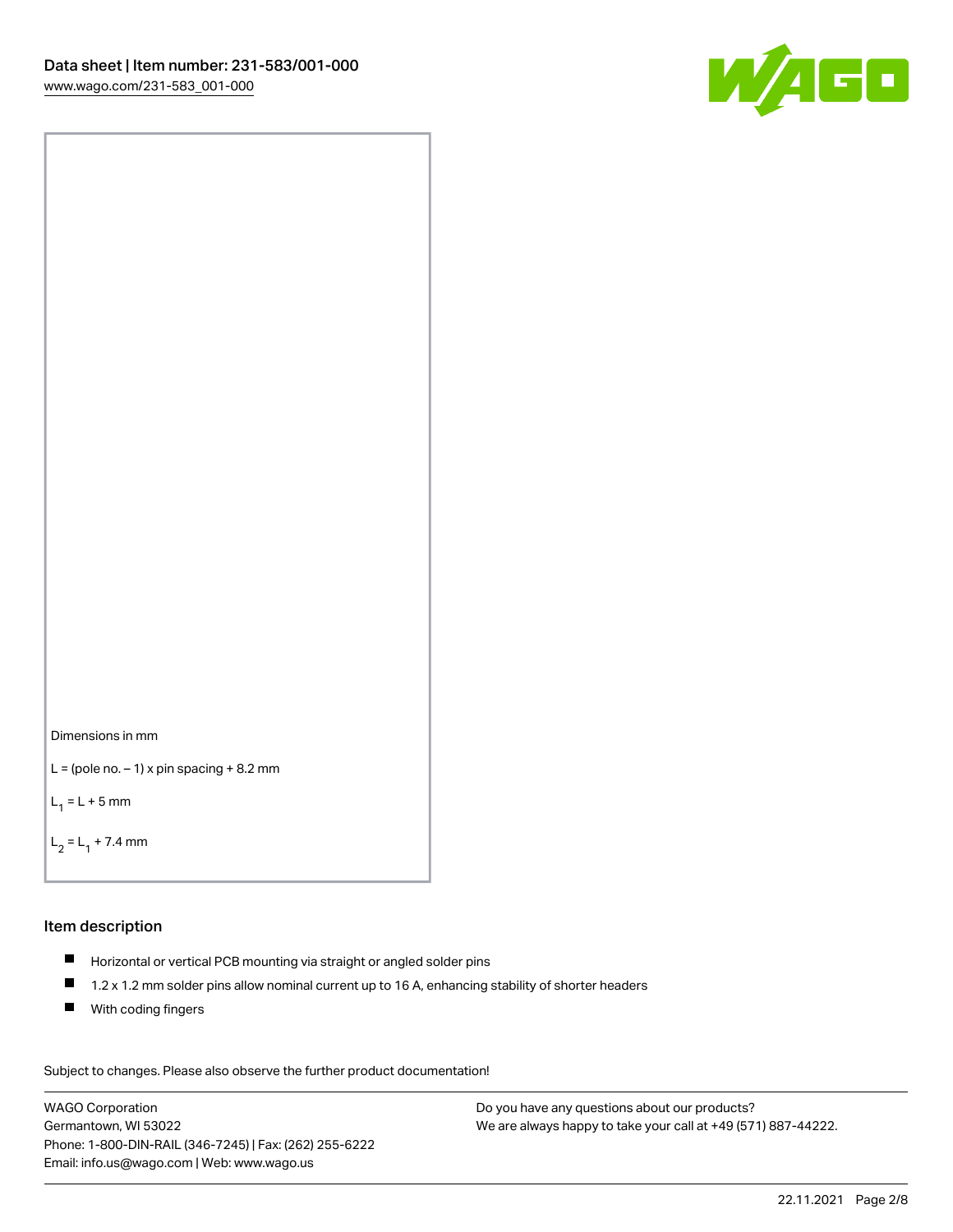



```
L = (pole no. -1) x pin spacing +8.2 mm
```
 $L_1 = L + 5$  mm

```
L_2 = L_1 + 7.4 mm
```
#### Item description

- Horizontal or vertical PCB mounting via straight or angled solder pins
- $\blacksquare$ 1.2 x 1.2 mm solder pins allow nominal current up to 16 A, enhancing stability of shorter headers
- **With coding fingers**

Subject to changes. Please also observe the further product documentation! Data

WAGO Corporation Germantown, WI 53022 Phone: 1-800-DIN-RAIL (346-7245) | Fax: (262) 255-6222 Email: info.us@wago.com | Web: www.wago.us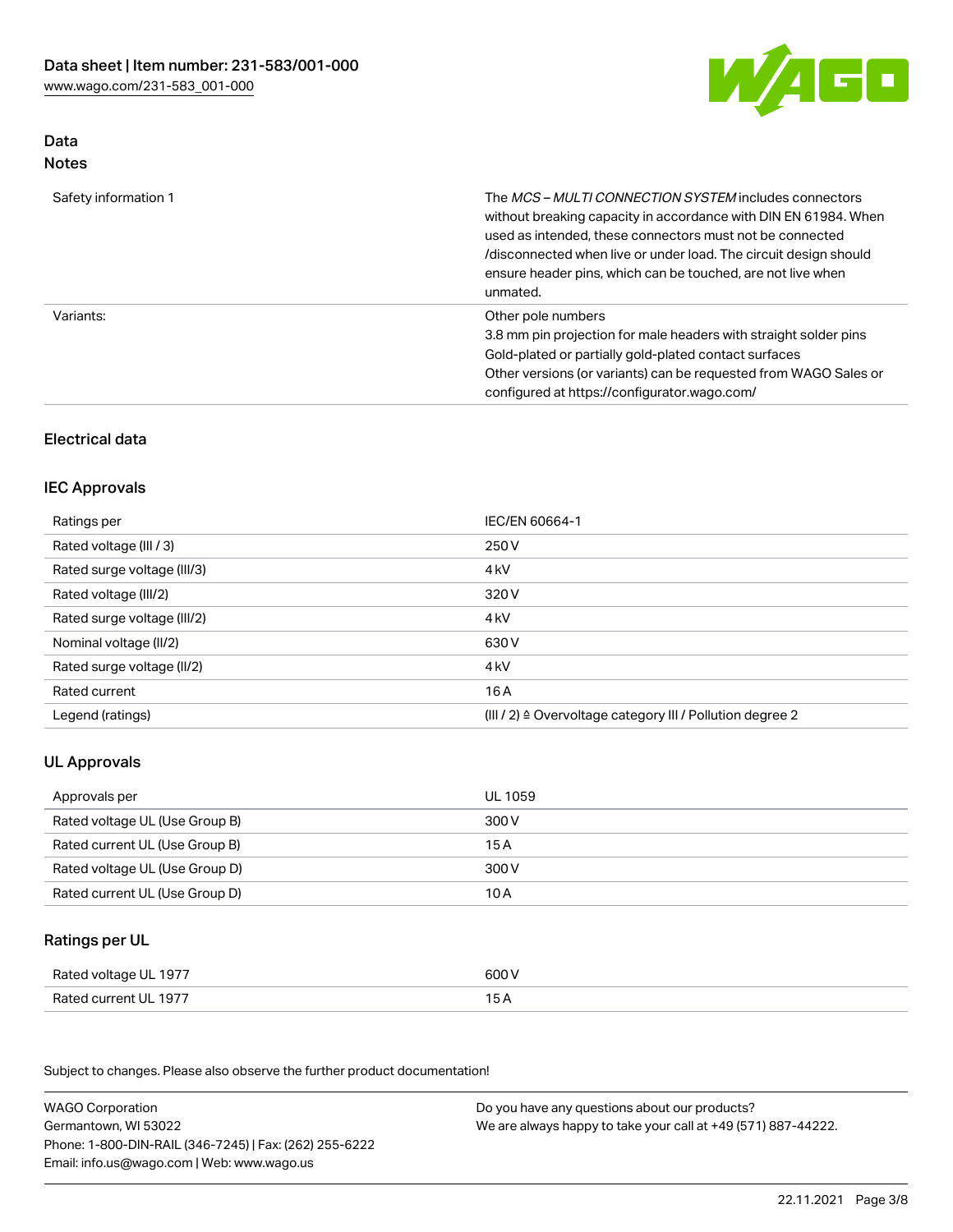

### Data Notes

| Safety information 1 | The <i>MCS – MULTI CONNECTION SYSTEM</i> includes connectors<br>without breaking capacity in accordance with DIN EN 61984. When<br>used as intended, these connectors must not be connected<br>/disconnected when live or under load. The circuit design should<br>ensure header pins, which can be touched, are not live when<br>unmated. |
|----------------------|--------------------------------------------------------------------------------------------------------------------------------------------------------------------------------------------------------------------------------------------------------------------------------------------------------------------------------------------|
| Variants:            | Other pole numbers<br>3.8 mm pin projection for male headers with straight solder pins<br>Gold-plated or partially gold-plated contact surfaces<br>Other versions (or variants) can be requested from WAGO Sales or<br>configured at https://configurator.wago.com/                                                                        |

## Electrical data

## IEC Approvals

| Ratings per                 | IEC/EN 60664-1                                                        |
|-----------------------------|-----------------------------------------------------------------------|
| Rated voltage (III / 3)     | 250 V                                                                 |
| Rated surge voltage (III/3) | 4 <sub>k</sub> V                                                      |
| Rated voltage (III/2)       | 320 V                                                                 |
| Rated surge voltage (III/2) | 4 <sub>kV</sub>                                                       |
| Nominal voltage (II/2)      | 630 V                                                                 |
| Rated surge voltage (II/2)  | 4 <sub>k</sub> V                                                      |
| Rated current               | 16A                                                                   |
| Legend (ratings)            | $(III / 2)$ $\triangle$ Overvoltage category III / Pollution degree 2 |

## UL Approvals

| Approvals per                  | UL 1059 |
|--------------------------------|---------|
| Rated voltage UL (Use Group B) | 300 V   |
| Rated current UL (Use Group B) | 15 A    |
| Rated voltage UL (Use Group D) | 300 V   |
| Rated current UL (Use Group D) | 10 A    |

### Ratings per UL

| Rated voltage UL 1977 | 600 V |
|-----------------------|-------|
| Rated current UL 1977 |       |

Subject to changes. Please also observe the further product documentation!

| <b>WAGO Corporation</b>                                | Do you have any questions about our products?                 |
|--------------------------------------------------------|---------------------------------------------------------------|
| Germantown, WI 53022                                   | We are always happy to take your call at +49 (571) 887-44222. |
| Phone: 1-800-DIN-RAIL (346-7245)   Fax: (262) 255-6222 |                                                               |
| Email: info.us@wago.com   Web: www.wago.us             |                                                               |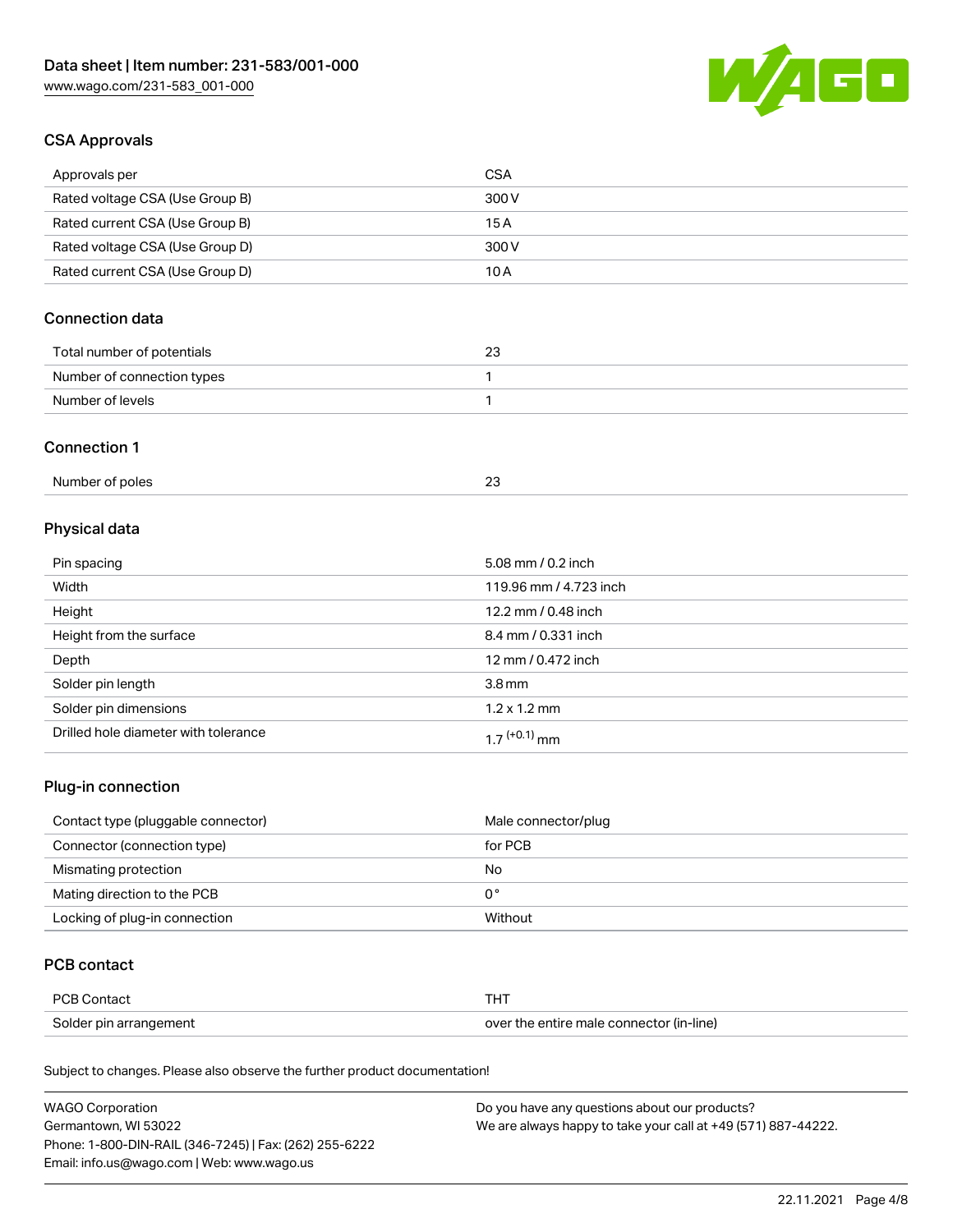

### CSA Approvals

| Approvals per                   | CSA   |
|---------------------------------|-------|
| Rated voltage CSA (Use Group B) | 300 V |
| Rated current CSA (Use Group B) | 15 A  |
| Rated voltage CSA (Use Group D) | 300 V |
| Rated current CSA (Use Group D) | 10 A  |

## Connection data

| Total number of potentials | 23 |
|----------------------------|----|
| Number of connection types |    |
| Number of levels           |    |

#### Connection 1

| Number of poles |  |
|-----------------|--|
|-----------------|--|

# Physical data

| Pin spacing                          | 5.08 mm / 0.2 inch     |
|--------------------------------------|------------------------|
| Width                                | 119.96 mm / 4.723 inch |
| Height                               | 12.2 mm / 0.48 inch    |
| Height from the surface              | 8.4 mm / 0.331 inch    |
| Depth                                | 12 mm / 0.472 inch     |
| Solder pin length                    | 3.8 <sub>mm</sub>      |
| Solder pin dimensions                | $1.2 \times 1.2$ mm    |
| Drilled hole diameter with tolerance | $17^{(+0.1)}$ mm       |

## Plug-in connection

| Contact type (pluggable connector) | Male connector/plug |
|------------------------------------|---------------------|
| Connector (connection type)        | for PCB             |
| Mismating protection               | No                  |
| Mating direction to the PCB        | 0°                  |
| Locking of plug-in connection      | Without             |

### PCB contact

| <b>PCB Contact</b>     | <b>THT</b>                               |
|------------------------|------------------------------------------|
| Solder pin arrangement | over the entire male connector (in-line) |

Subject to changes. Please also observe the further product documentation!

| <b>WAGO Corporation</b>                                | Do you have any questions about our products?                 |
|--------------------------------------------------------|---------------------------------------------------------------|
| Germantown, WI 53022                                   | We are always happy to take your call at +49 (571) 887-44222. |
| Phone: 1-800-DIN-RAIL (346-7245)   Fax: (262) 255-6222 |                                                               |
| Email: info.us@wago.com   Web: www.wago.us             |                                                               |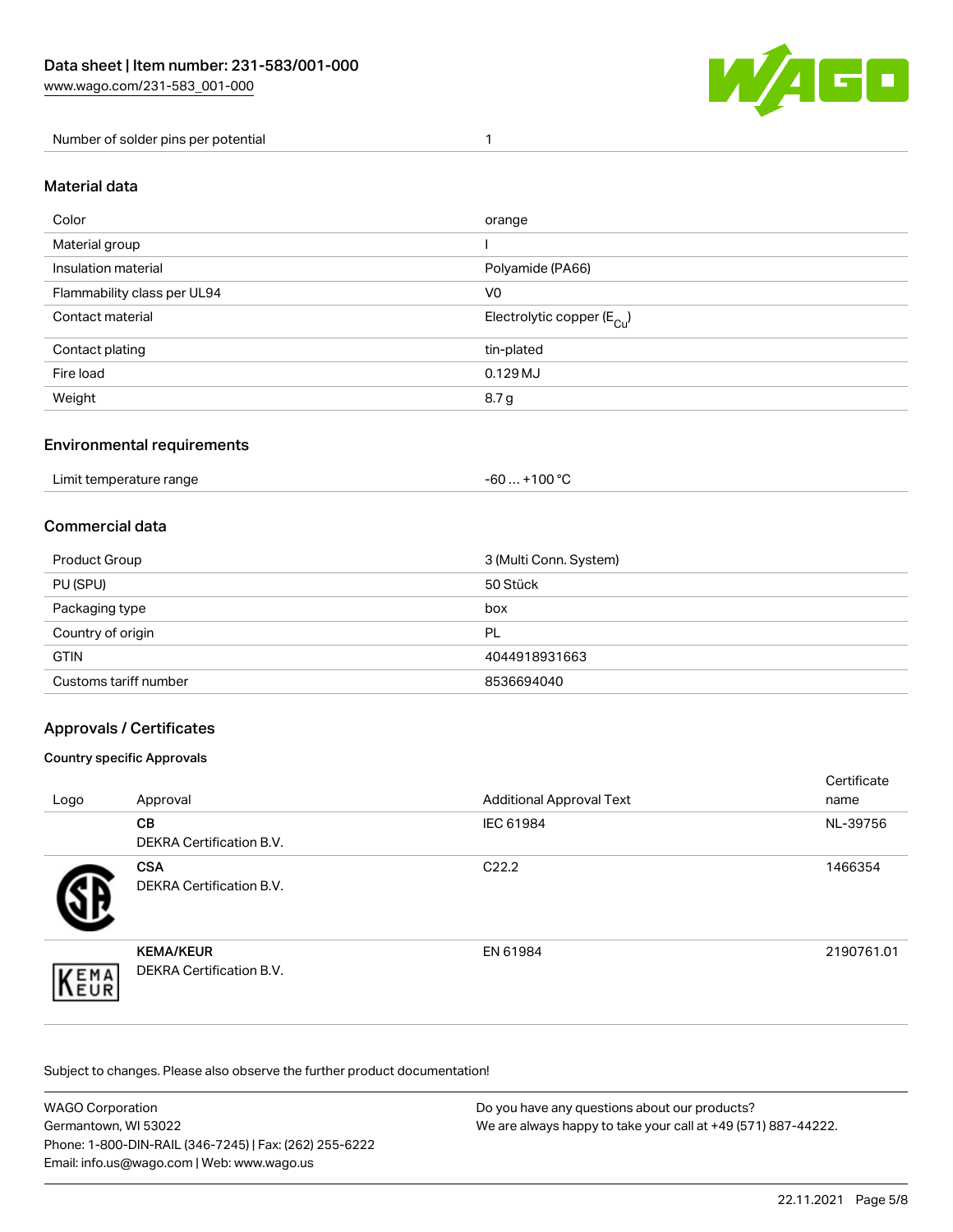

Number of solder pins per potential 1

#### Material data

| Color                       | orange                                 |
|-----------------------------|----------------------------------------|
| Material group              |                                        |
| Insulation material         | Polyamide (PA66)                       |
| Flammability class per UL94 | V <sub>0</sub>                         |
| Contact material            | Electrolytic copper (E <sub>Cu</sub> ) |
| Contact plating             | tin-plated                             |
| Fire load                   | $0.129$ MJ                             |
| Weight                      | 8.7 g                                  |

### Environmental requirements

Limit temperature range  $-60... +100$  °C

### Commercial data

| Product Group         | 3 (Multi Conn. System) |
|-----------------------|------------------------|
| PU (SPU)              | 50 Stück               |
| Packaging type        | box                    |
| Country of origin     | PL                     |
| <b>GTIN</b>           | 4044918931663          |
| Customs tariff number | 8536694040             |

### Approvals / Certificates

#### Country specific Approvals

| Logo               | Approval                                            | <b>Additional Approval Text</b> | Certificate<br>name |
|--------------------|-----------------------------------------------------|---------------------------------|---------------------|
|                    | <b>CB</b><br><b>DEKRA Certification B.V.</b>        | IEC 61984                       | NL-39756            |
|                    | <b>CSA</b><br>DEKRA Certification B.V.              | C <sub>22.2</sub>               | 1466354             |
| EMA<br><b>NEUR</b> | <b>KEMA/KEUR</b><br><b>DEKRA Certification B.V.</b> | EN 61984                        | 2190761.01          |

Subject to changes. Please also observe the further product documentation!

| WAGO Corporation                                       | Do you have any questions about our products?                 |
|--------------------------------------------------------|---------------------------------------------------------------|
| Germantown, WI 53022                                   | We are always happy to take your call at +49 (571) 887-44222. |
| Phone: 1-800-DIN-RAIL (346-7245)   Fax: (262) 255-6222 |                                                               |
| Email: info.us@wago.com   Web: www.wago.us             |                                                               |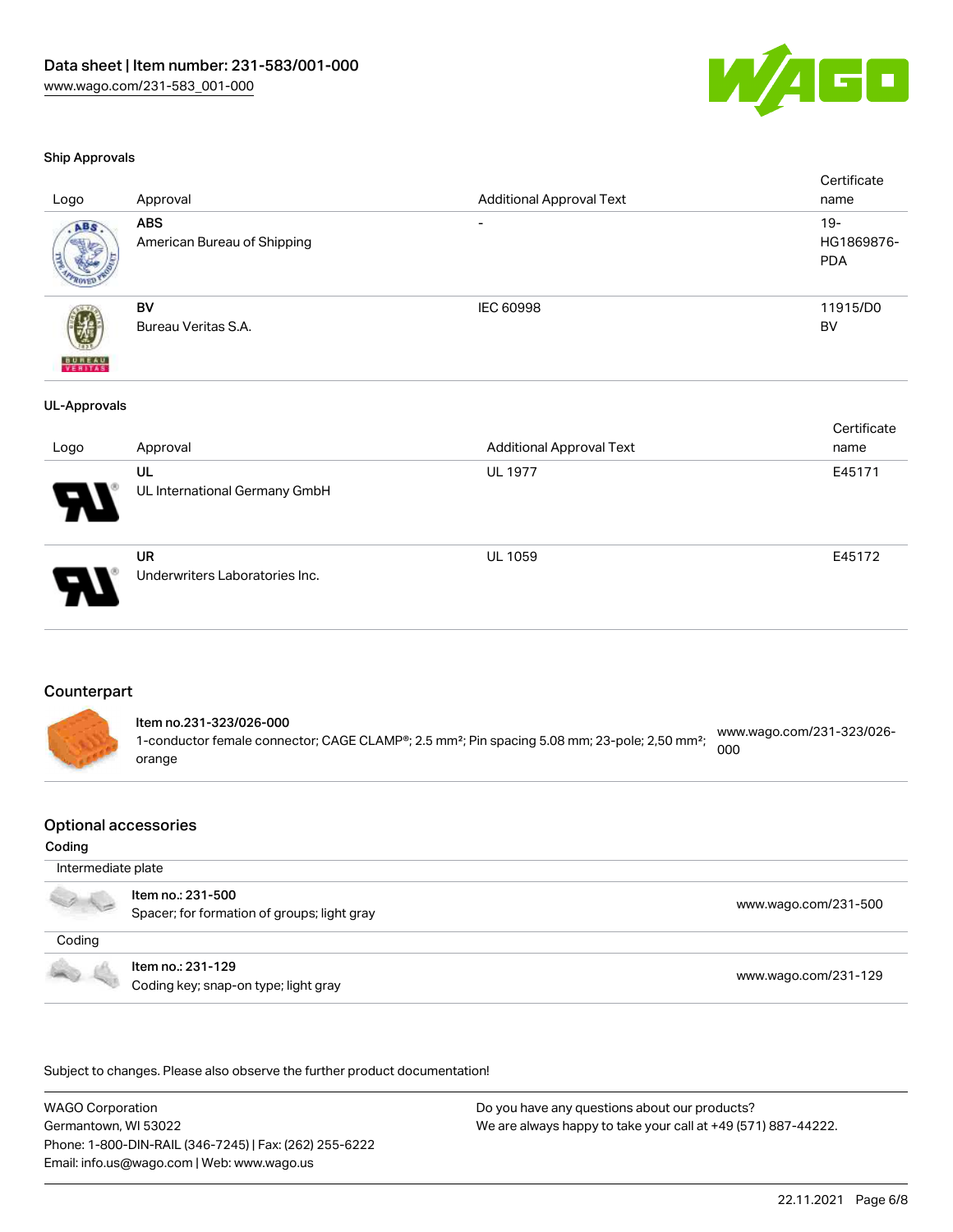

#### Ship Approvals

|                     |                               |                                 | Certificate |
|---------------------|-------------------------------|---------------------------------|-------------|
| Logo                | Approval                      | <b>Additional Approval Text</b> | name        |
| ABS                 | <b>ABS</b>                    |                                 | $19 -$      |
|                     | American Bureau of Shipping   |                                 | HG1869876-  |
|                     |                               |                                 | <b>PDA</b>  |
|                     |                               |                                 |             |
|                     | BV                            | IEC 60998                       | 11915/D0    |
|                     | Bureau Veritas S.A.           |                                 | BV          |
|                     |                               |                                 |             |
| <b>BUREAU</b>       |                               |                                 |             |
| <b>UL-Approvals</b> |                               |                                 |             |
|                     |                               |                                 | Certificate |
|                     |                               |                                 |             |
| Logo                | Approval                      | <b>Additional Approval Text</b> | name        |
|                     | UL                            | <b>UL 1977</b>                  | E45171      |
|                     | UL International Germany GmbH |                                 |             |
|                     |                               |                                 |             |
|                     |                               |                                 |             |



UR Underwriters Laboratories Inc.

#### **Counterpart**

Item no.231-323/026-000 1-conductor female connector; CAGE CLAMP®; 2.5 mm²; Pin spacing 5.08 mm; 23-pole; 2,50 mm²; orange [www.wago.com/231-323/026-](https://www.wago.com/231-323/026-000) [000](https://www.wago.com/231-323/026-000)

#### Optional accessories

#### Coding

 Intermediate plate Item no.: 231-500 . I Not the second that the second second the second second second that [www.wago.com/231-500](http://www.wago.com/231-500) spacer; for formation of groups; light gray Coding Item no.: 231-129 Coding key; snap-on type; light gray [www.wago.com/231-129](http://www.wago.com/231-129)

.<br>Subject to changes. Please also observe the further product documentation!

WAGO Corporation Germantown, WI 53022 Phone: 1-800-DIN-RAIL (346-7245) | Fax: (262) 255-6222 Email: info.us@wago.com | Web: www.wago.us

Do you have any questions about our products? We are always happy to take your call at +49 (571) 887-44222.

UL 1059 E45172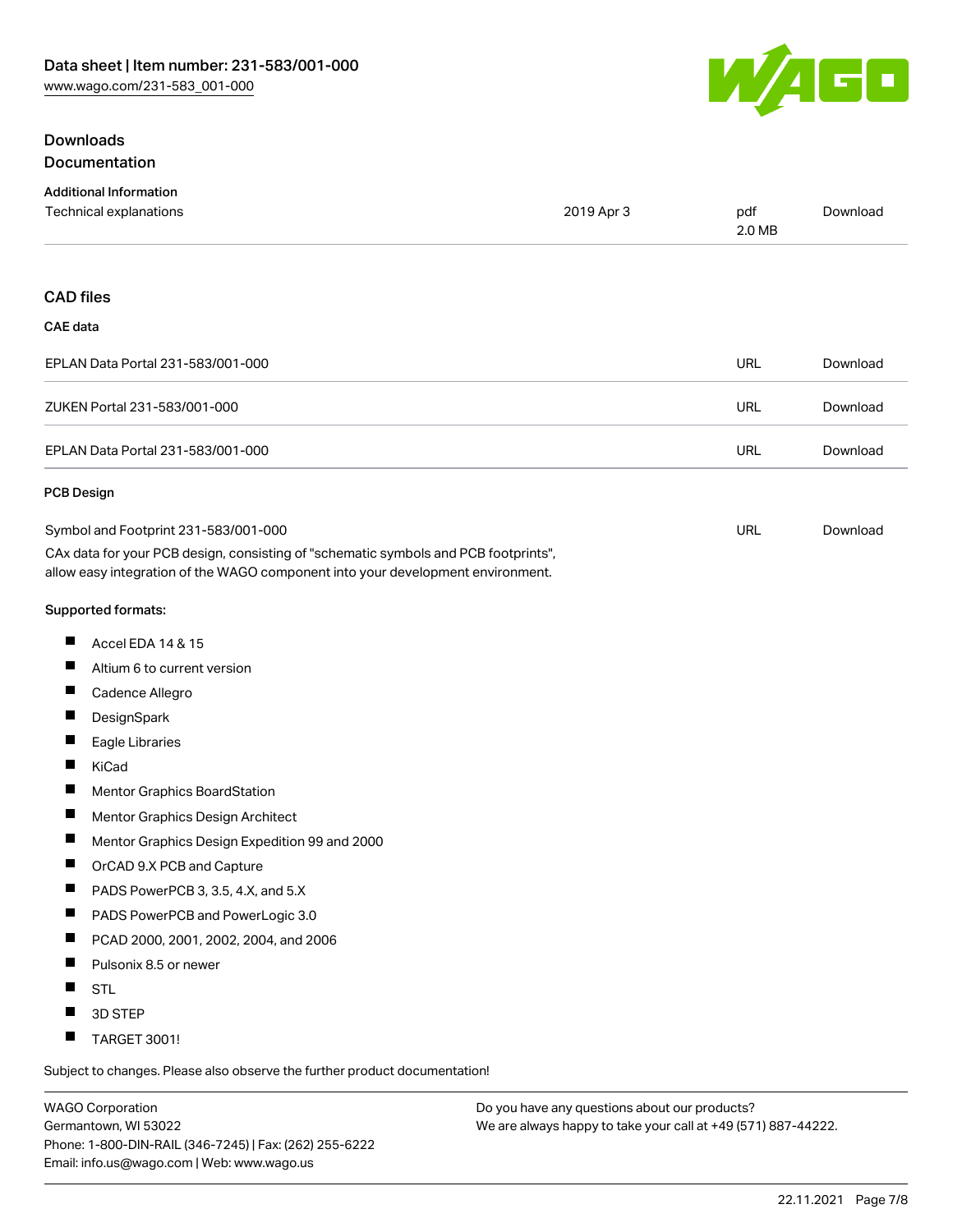

## **Downloads** Documentation

| <b>Additional Information</b>                                                                                                                                          |            |               |          |
|------------------------------------------------------------------------------------------------------------------------------------------------------------------------|------------|---------------|----------|
| Technical explanations                                                                                                                                                 | 2019 Apr 3 | pdf<br>2.0 MB | Download |
| <b>CAD files</b>                                                                                                                                                       |            |               |          |
| <b>CAE</b> data                                                                                                                                                        |            |               |          |
| EPLAN Data Portal 231-583/001-000                                                                                                                                      |            | <b>URL</b>    | Download |
| ZUKEN Portal 231-583/001-000                                                                                                                                           |            | <b>URL</b>    | Download |
| EPLAN Data Portal 231-583/001-000                                                                                                                                      |            | <b>URL</b>    | Download |
| <b>PCB Design</b>                                                                                                                                                      |            |               |          |
| Symbol and Footprint 231-583/001-000                                                                                                                                   |            | <b>URL</b>    | Download |
| CAx data for your PCB design, consisting of "schematic symbols and PCB footprints",<br>allow easy integration of the WAGO component into your development environment. |            |               |          |
| Supported formats:                                                                                                                                                     |            |               |          |
| Accel EDA 14 & 15<br>ш                                                                                                                                                 |            |               |          |
| Ш<br>Altium 6 to current version                                                                                                                                       |            |               |          |
| ш<br>Cadence Allegro                                                                                                                                                   |            |               |          |
| ш<br>DesignSpark                                                                                                                                                       |            |               |          |
| ш<br>Eagle Libraries                                                                                                                                                   |            |               |          |
| ш<br>KiCad                                                                                                                                                             |            |               |          |
| ш<br>Mentor Graphics BoardStation                                                                                                                                      |            |               |          |
| ш<br>Mentor Graphics Design Architect                                                                                                                                  |            |               |          |
| ш<br>Mentor Graphics Design Expedition 99 and 2000                                                                                                                     |            |               |          |
| ш<br>OrCAD 9.X PCB and Capture                                                                                                                                         |            |               |          |
| ш<br>PADS PowerPCB 3, 3.5, 4.X, and 5.X                                                                                                                                |            |               |          |
| П<br>PADS PowerPCB and PowerLogic 3.0                                                                                                                                  |            |               |          |
| ш<br>PCAD 2000, 2001, 2002, 2004, and 2006                                                                                                                             |            |               |          |
| ш<br>Pulsonix 8.5 or newer                                                                                                                                             |            |               |          |
| Ш<br><b>STL</b>                                                                                                                                                        |            |               |          |
| 3D STEP                                                                                                                                                                |            |               |          |
| ш<br>TARGET 3001!                                                                                                                                                      |            |               |          |
|                                                                                                                                                                        |            |               |          |

Subject to changes. Please also observe the further product documentation!

WAGO Corporation Germantown, WI 53022 Phone: 1-800-DIN-RAIL (346-7245) | Fax: (262) 255-6222 Email: info.us@wago.com | Web: www.wago.us